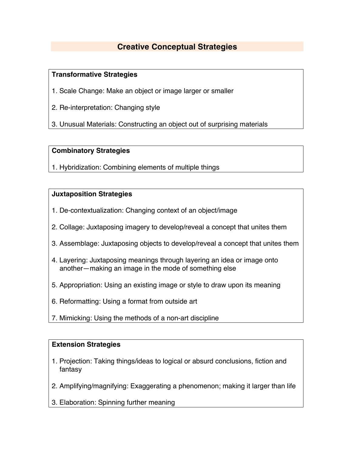# **Creative Conceptual Strategies**

## **Transformative Strategies**

- 1. Scale Change: Make an object or image larger or smaller
- 2. Re-interpretation: Changing style
- 3. Unusual Materials: Constructing an object out of surprising materials

## **Combinatory Strategies**

1. Hybridization: Combining elements of multiple things

## **Juxtaposition Strategies**

- 1. De-contextualization: Changing context of an object/image
- 2. Collage: Juxtaposing imagery to develop/reveal a concept that unites them
- 3. Assemblage: Juxtaposing objects to develop/reveal a concept that unites them
- 4. Layering: Juxtaposing meanings through layering an idea or image onto another—making an image in the mode of something else
- 5. Appropriation: Using an existing image or style to draw upon its meaning
- 6. Reformatting: Using a format from outside art
- 7. Mimicking: Using the methods of a non-art discipline

#### **Extension Strategies**

- 1. Projection: Taking things/ideas to logical or absurd conclusions, fiction and fantasy
- 2. Amplifying/magnifying: Exaggerating a phenomenon; making it larger than life
- 3. Elaboration: Spinning further meaning